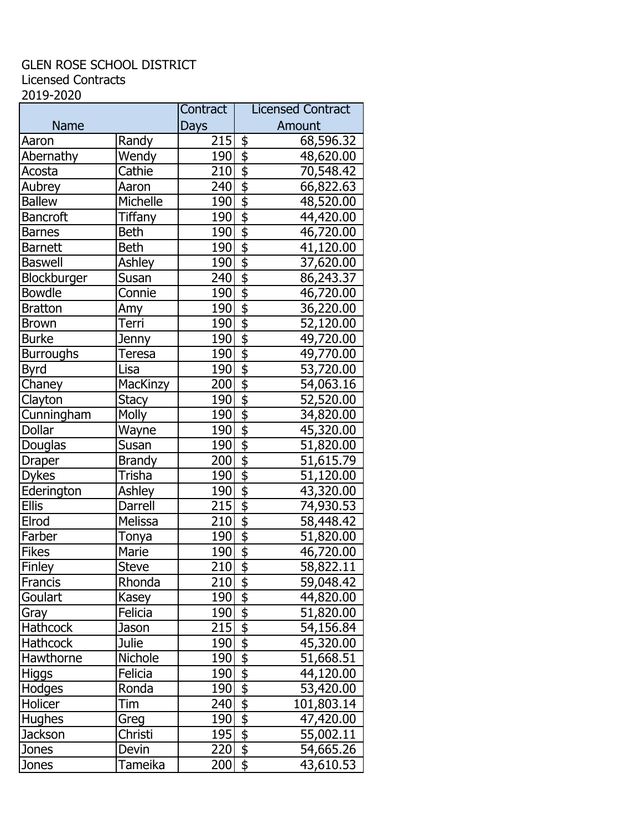## GLEN ROSE SCHOOL DISTRICT Licensed Contracts 2019-2020

|                  |                | Contract         | <b>Licensed Contract</b>                                     |
|------------------|----------------|------------------|--------------------------------------------------------------|
| <b>Name</b>      |                | Days             | Amount                                                       |
| Aaron            | Randy          | 215              | \$<br>68,596.32                                              |
| Abernathy        | Wendy          | 190              | $\frac{1}{2}$<br>48,620.00                                   |
| Acosta           | Cathie         | 210              | $\overline{\Phi}$<br>70,548.42                               |
| Aubrey           | Aaron          | 240              | \$<br>66,822.63                                              |
| <b>Ballew</b>    | Michelle       | 190              | $\overline{\boldsymbol{\mathsf{s}}}$<br>48,520.00            |
| <b>Bancroft</b>  | <b>Tiffany</b> | 190              | $\overline{\mathfrak{s}}$<br>44,420.00                       |
| <b>Barnes</b>    | <b>Beth</b>    | 190              | $\overline{\mathfrak{s}}$<br>46,720.00                       |
| <b>Barnett</b>   | <b>Beth</b>    | 190              | $\overline{\boldsymbol{\mathsf{s}}}$<br>41,120.00            |
| <b>Baswell</b>   | Ashley         | 190              | $\overline{\overline{\overline{z}}}$<br>37,620.00            |
| Blockburger      | Susan          | 240              | $\overline{\mathfrak{s}}$<br>86,243.37                       |
| <b>Bowdle</b>    | Connie         | 190              | $\overline{\boldsymbol{\mathsf{S}}}$<br>46,720.00            |
| <b>Bratton</b>   | Amy            | 190              | $\overline{\mathfrak{s}}$<br>36,220.00                       |
| <b>Brown</b>     | Terri          | 190              | $\overline{\mathfrak{s}}$<br>52,120.00                       |
| <b>Burke</b>     | Jenny          | 190              | \$<br>49,720.00                                              |
| <b>Burroughs</b> | Teresa         | 190              | $\overline{\boldsymbol{\mathsf{s}}}$<br>49,770.00            |
| <b>Byrd</b>      | Lisa           | 190              | $\overline{\boldsymbol{\mathsf{S}}}$<br>53,720.00            |
| Chaney           | MacKinzy       | 200              | $\overline{\boldsymbol{\phi}}$<br>54,063.16                  |
| Clayton          | <b>Stacy</b>   | 190              | $\overline{\mathfrak{s}}$<br>52,520.00                       |
| Cunningham       | <b>Molly</b>   | 190              | $\overline{\boldsymbol{\mathsf{S}}}$<br>34,820.00            |
| Dollar           | Wayne          | 190              | $\overline{\mathfrak{s}}$<br>45,320.00                       |
| Douglas          | Susan          | 190              | $\overline{\mathsf{D}}$<br>51,820.00                         |
| <b>Draper</b>    | <b>Brandy</b>  | 200              | $\overline{\boldsymbol{\phi}}$<br>51,615.79                  |
| <b>Dykes</b>     | Trisha         | 190              | $\overline{\mathbf{e}}$<br>51,120.00                         |
| Ederington       | Ashley         | 190              | $\overline{\mathfrak{s}}$<br>43,320.00                       |
| <b>Ellis</b>     | Darrell        | $\overline{215}$ | $\overline{\frac{1}{2}}$<br>74,930.53                        |
| Elrod            | Melissa        | 210              | $\overline{\boldsymbol{\mathsf{S}}}$<br>58,448.42            |
| Farber           | Tonya          | 190              | $\overline{\boldsymbol{\mathsf{S}}}$<br>51,820.00            |
| <b>Fikes</b>     | Marie          | 190              | $\overline{\mathfrak{s}}$<br>46,720.00                       |
| Finley           | <b>Steve</b>   | 210              | $\overline{\$}$<br>58,822.11                                 |
| <b>Francis</b>   | Rhonda         | 210              | 59,048.42<br><u>\$</u>                                       |
| Goulart          | Kasey          | 190              | $\frac{1}{2}$<br>44,820.00                                   |
| Gray             | Felicia        | 190              | $\frac{1}{2}$<br>51,820.00                                   |
| Hathcock         | Jason          | 215              | $\overline{\overline{\overline{\overline{z}}}}$<br>54,156.84 |
| Hathcock         | <b>Julie</b>   | 190              | $\overline{\boldsymbol{\phi}}$<br>45,320.00                  |
| Hawthorne        | Nichole        | 190              | $\overline{\mathfrak{s}}$<br>51,668.51                       |
| <b>Higgs</b>     | Felicia        | 190              | $\overline{\$}$<br>44,120.00                                 |
| Hodges           | Ronda          | 190              | $\overline{\mathfrak{s}}$<br>53,420.00                       |
| Holicer          | Tim            | 240              | $\overline{\mathfrak{s}}$<br>101,803.14                      |
| <b>Hughes</b>    | Greg           | 190              | $\overline{\mathfrak{s}}$<br>47,420.00                       |
| Jackson          | Christi        | 195              | $\overline{\frac{1}{2}}$<br>55,002.11                        |
| Jones            | Devin          | 220              | $\overline{\boldsymbol{\phi}}$<br>54,665.26                  |
| Jones            | Tameika        | 200              | $\frac{1}{2}$<br>43,610.53                                   |